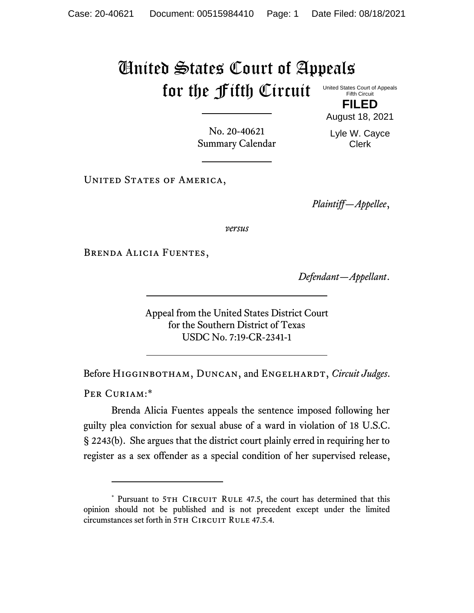## United States Court of Appeals for the Fifth Circuit United States Court of Appeals

Fifth Circuit

**FILED** August 18, 2021

No. 20-40621 Summary Calendar Lyle W. Cayce Clerk

UNITED STATES OF AMERICA,

*Plaintiff—Appellee*,

*versus*

Brenda Alicia Fuentes,

*Defendant—Appellant*.

Appeal from the United States District Court for the Southern District of Texas USDC No. 7:19-CR-2341-1

Before HIGGINBOTHAM, DUNCAN, and ENGELHARDT, *Circuit Judges*.

PER CURIAM:\*

Brenda Alicia Fuentes appeals the sentence imposed following her guilty plea conviction for sexual abuse of a ward in violation of 18 U.S.C. § 2243(b). She argues that the district court plainly erred in requiring her to register as a sex offender as a special condition of her supervised release,

<sup>\*</sup> Pursuant to 5TH CIRCUIT RULE 47.5, the court has determined that this opinion should not be published and is not precedent except under the limited circumstances set forth in 5TH CIRCUIT RULE 47.5.4.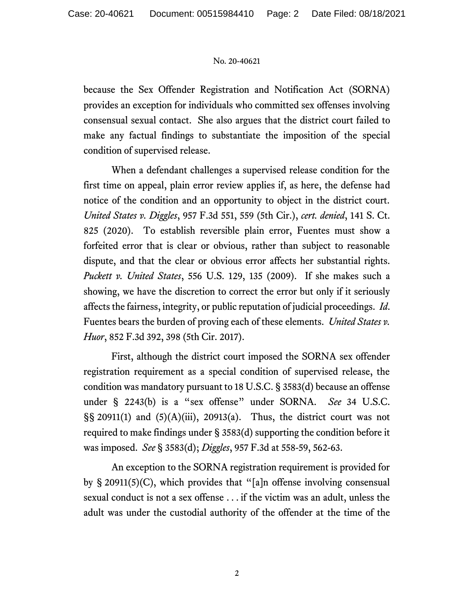## No. 20-40621

because the Sex Offender Registration and Notification Act (SORNA) provides an exception for individuals who committed sex offenses involving consensual sexual contact. She also argues that the district court failed to make any factual findings to substantiate the imposition of the special condition of supervised release.

When a defendant challenges a supervised release condition for the first time on appeal, plain error review applies if, as here, the defense had notice of the condition and an opportunity to object in the district court. *United States v. Diggles*, 957 F.3d 551, 559 (5th Cir.), *cert. denied*, 141 S. Ct. 825 (2020). To establish reversible plain error, Fuentes must show a forfeited error that is clear or obvious, rather than subject to reasonable dispute, and that the clear or obvious error affects her substantial rights. *Puckett v. United States*, 556 U.S. 129, 135 (2009). If she makes such a showing, we have the discretion to correct the error but only if it seriously affects the fairness, integrity, or public reputation of judicial proceedings. *Id*. Fuentes bears the burden of proving each of these elements. *United States v. Huor*, 852 F.3d 392, 398 (5th Cir. 2017).

First, although the district court imposed the SORNA sex offender registration requirement as a special condition of supervised release, the condition was mandatory pursuant to 18 U.S.C. § 3583(d) because an offense under § 2243(b) is a "sex offense" under SORNA. *See* 34 U.S.C.  $\S$ § 20911(1) and (5)(A)(iii), 20913(a). Thus, the district court was not required to make findings under § 3583(d) supporting the condition before it was imposed. *See* § 3583(d); *Diggles*, 957 F.3d at 558-59, 562-63.

An exception to the SORNA registration requirement is provided for by § 20911(5)(C), which provides that "[a]n offense involving consensual sexual conduct is not a sex offense . . . if the victim was an adult, unless the adult was under the custodial authority of the offender at the time of the